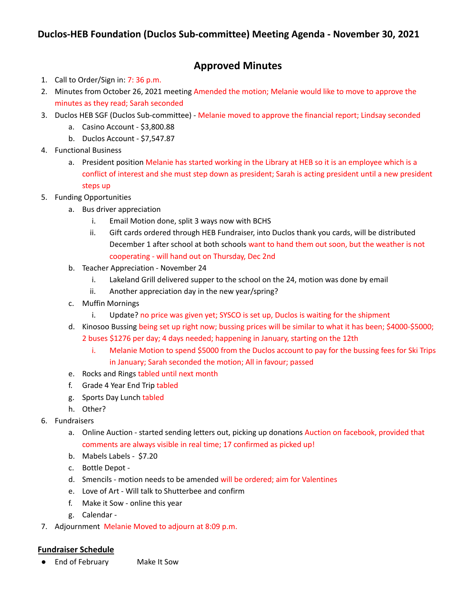## **Approved Minutes**

- 1. Call to Order/Sign in: 7: 36 p.m.
- 2. Minutes from October 26, 2021 meeting Amended the motion; Melanie would like to move to approve the minutes as they read; Sarah seconded
- 3. Duclos HEB SGF (Duclos Sub-committee) Melanie moved to approve the financial report; Lindsay seconded
	- a. Casino Account \$3,800.88
	- b. Duclos Account \$7,547.87
- 4. Functional Business
	- a. President position Melanie has started working in the Library at HEB so it is an employee which is a conflict of interest and she must step down as president; Sarah is acting president until a new president steps up
- 5. Funding Opportunities
	- a. Bus driver appreciation
		- i. Email Motion done, split 3 ways now with BCHS
		- ii. Gift cards ordered through HEB Fundraiser, into Duclos thank you cards, will be distributed December 1 after school at both schools want to hand them out soon, but the weather is not cooperating - will hand out on Thursday, Dec 2nd
	- b. Teacher Appreciation November 24
		- i. Lakeland Grill delivered supper to the school on the 24, motion was done by email
		- ii. Another appreciation day in the new year/spring?
	- c. Muffin Mornings
		- i. Update? no price was given yet; SYSCO is set up, Duclos is waiting for the shipment
	- d. Kinosoo Bussing being set up right now; bussing prices will be similar to what it has been; \$4000-\$5000;
		- 2 buses \$1276 per day; 4 days needed; happening in January, starting on the 12th
			- i. Melanie Motion to spend \$5000 from the Duclos account to pay for the bussing fees for Ski Trips in January; Sarah seconded the motion; All in favour; passed
	- e. Rocks and Rings tabled until next month
	- f. Grade 4 Year End Trip tabled
	- g. Sports Day Lunch tabled
	- h. Other?
- 6. Fundraisers
	- a. Online Auction started sending letters out, picking up donations Auction on facebook, provided that comments are always visible in real time; 17 confirmed as picked up!
	- b. Mabels Labels \$7.20
	- c. Bottle Depot -
	- d. Smencils motion needs to be amended will be ordered; aim for Valentines
	- e. Love of Art Will talk to Shutterbee and confirm
	- f. Make it Sow online this year
	- g. Calendar -
- 7. Adjournment Melanie Moved to adjourn at 8:09 p.m.

## **Fundraiser Schedule**

● End of February Make It Sow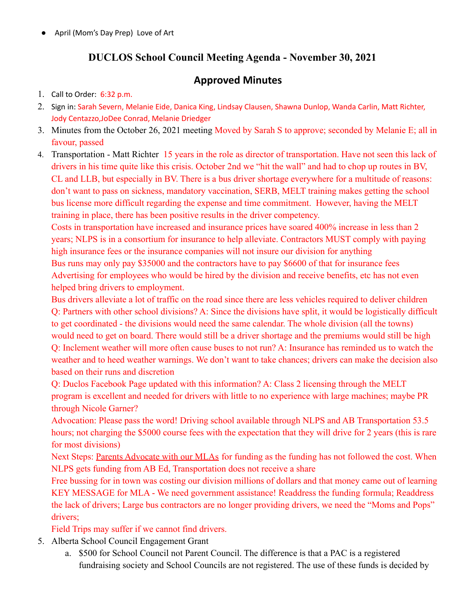April (Mom's Day Prep) Love of Art

## **DUCLOS School Council Meeting Agenda - November 30, 2021**

## **Approved Minutes**

- 1. Call to Order: 6:32 p.m.
- 2. Sign in: Sarah Severn, Melanie Eide, Danica King, Lindsay Clausen, Shawna Dunlop, Wanda Carlin, Matt Richter, Jody Centazzo,JoDee Conrad, Melanie Driedger
- 3. Minutes from the October 26, 2021 meeting Moved by Sarah S to approve; seconded by Melanie E; all in favour, passed
- 4. Transportation Matt Richter 15 years in the role as director of transportation. Have not seen this lack of drivers in his time quite like this crisis. October 2nd we "hit the wall" and had to chop up routes in BV, CL and LLB, but especially in BV. There is a bus driver shortage everywhere for a multitude of reasons: don't want to pass on sickness, mandatory vaccination, SERB, MELT training makes getting the school bus license more difficult regarding the expense and time commitment. However, having the MELT training in place, there has been positive results in the driver competency.

Costs in transportation have increased and insurance prices have soared 400% increase in less than 2 years; NLPS is in a consortium for insurance to help alleviate. Contractors MUST comply with paying high insurance fees or the insurance companies will not insure our division for anything Bus runs may only pay \$35000 and the contractors have to pay \$6600 of that for insurance fees Advertising for employees who would be hired by the division and receive benefits, etc has not even helped bring drivers to employment.

Bus drivers alleviate a lot of traffic on the road since there are less vehicles required to deliver children Q: Partners with other school divisions? A: Since the divisions have split, it would be logistically difficult to get coordinated - the divisions would need the same calendar. The whole division (all the towns) would need to get on board. There would still be a driver shortage and the premiums would still be high Q: Inclement weather will more often cause buses to not run? A: Insurance has reminded us to watch the weather and to heed weather warnings. We don't want to take chances; drivers can make the decision also based on their runs and discretion

Q: Duclos Facebook Page updated with this information? A: Class 2 licensing through the MELT program is excellent and needed for drivers with little to no experience with large machines; maybe PR through Nicole Garner?

Advocation: Please pass the word! Driving school available through NLPS and AB Transportation 53.5 hours; not charging the \$5000 course fees with the expectation that they will drive for 2 years (this is rare for most divisions)

Next Steps: Parents Advocate with our MLAs for funding as the funding has not followed the cost. When NLPS gets funding from AB Ed, Transportation does not receive a share

Free bussing for in town was costing our division millions of dollars and that money came out of learning KEY MESSAGE for MLA - We need government assistance! Readdress the funding formula; Readdress the lack of drivers; Large bus contractors are no longer providing drivers, we need the "Moms and Pops" drivers;

Field Trips may suffer if we cannot find drivers.

- 5. Alberta School Council Engagement Grant
	- a. \$500 for School Council not Parent Council. The difference is that a PAC is a registered fundraising society and School Councils are not registered. The use of these funds is decided by